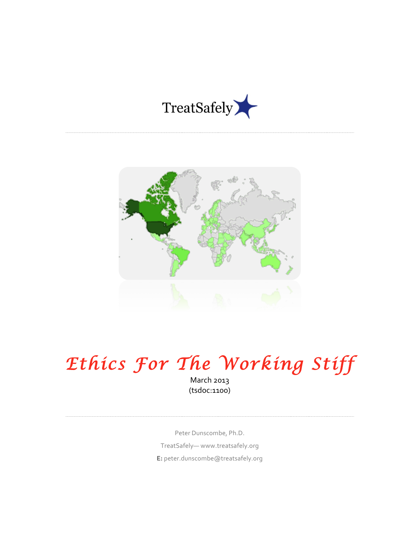



# *Ethics For The Working Stiff*

March 2013 (tsdoc:1100)

Peter Dunscombe, Ph.D. TreatSafely— www.treatsafely.org **E:** peter.dunscombe@treatsafely.org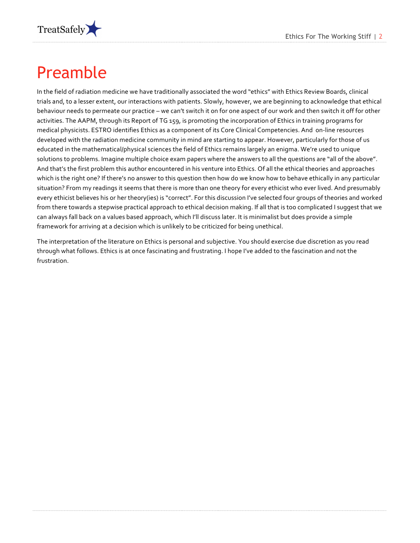

#### Preamble

In the field of radiation medicine we have traditionally associated the word "ethics" with Ethics Review Boards, clinical trials and, to a lesser extent, our interactions with patients. Slowly, however, we are beginning to acknowledge that ethical behaviour needs to permeate our practice – we can't switch it on for one aspect of our work and then switch it off for other activities. The AAPM, through its Report of TG 159, is promoting the incorporation of Ethics in training programs for medical physicists. ESTRO identifies Ethics as a component of its Core Clinical Competencies. And on-line resources developed with the radiation medicine community in mind are starting to appear. However, particularly for those of us educated in the mathematical/physical sciences the field of Ethics remains largely an enigma. We're used to unique solutions to problems. Imagine multiple choice exam papers where the answers to all the questions are "all of the above". And that's the first problem this author encountered in his venture into Ethics. Of all the ethical theories and approaches which is the right one? If there's no answer to this question then how do we know how to behave ethically in any particular situation? From my readings it seems that there is more than one theory for every ethicist who ever lived. And presumably every ethicist believes his or her theory(ies) is "correct". For this discussion I've selected four groups of theories and worked from there towards a stepwise practical approach to ethical decision making. If all that is too complicated I suggest that we can always fall back on a values based approach, which I'll discuss later. It is minimalist but does provide a simple framework for arriving at a decision which is unlikely to be criticized for being unethical.

The interpretation of the literature on Ethics is personal and subjective. You should exercise due discretion as you read through what follows. Ethics is at once fascinating and frustrating. I hope I've added to the fascination and not the frustration.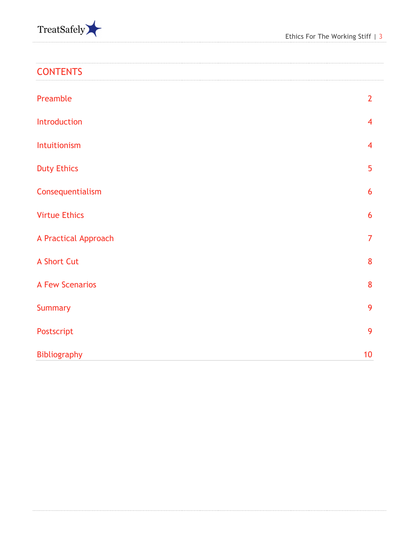

| <b>CONTENTS</b> |  |  |  |  |  |  |
|-----------------|--|--|--|--|--|--|
|                 |  |  |  |  |  |  |

\_\_\_\_\_\_\_\_\_\_\_\_\_\_\_\_\_\_\_

| Preamble               | $\overline{2}$ |
|------------------------|----------------|
| Introduction           | $\overline{4}$ |
| Intuitionism           | $\overline{4}$ |
| <b>Duty Ethics</b>     | 5              |
| Consequentialism       | 6              |
| <b>Virtue Ethics</b>   | 6              |
| A Practical Approach   | $\overline{7}$ |
| A Short Cut            | 8              |
| <b>A Few Scenarios</b> | 8              |
| <b>Summary</b>         | 9              |
| Postscript             | 9              |
| Bibliography           | 10             |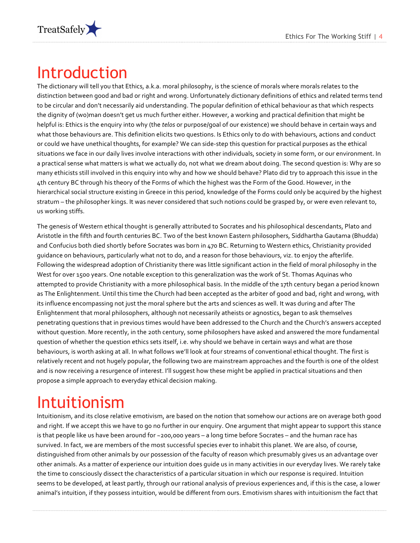

#### Introduction

The dictionary will tell you that Ethics, a.k.a. moral philosophy, is the science of morals where morals relates to the distinction between good and bad or right and wrong. Unfortunately dictionary definitions of ethics and related terms tend to be circular and don't necessarily aid understanding. The popular definition of ethical behaviour as that which respects the dignity of (wo)man doesn't get us much further either. However, a working and practical definition that might be helpful is: Ethics is the enquiry into why (the *telos* or purpose/goal of our existence) we should behave in certain ways and what those behaviours are. This definition elicits two questions. Is Ethics only to do with behaviours, actions and conduct or could we have unethical thoughts, for example? We can side-step this question for practical purposes as the ethical situations we face in our daily lives involve interactions with other individuals, society in some form, or our environment. In a practical sense what matters is what we actually do, not what we dream about doing. The second question is: Why are so many ethicists still involved in this enquiry into why and how we should behave? Plato did try to approach this issue in the 4th century BC through his theory of the Forms of which the highest was the Form of the Good. However, in the hierarchical social structure existing in Greece in this period, knowledge of the Forms could only be acquired by the highest stratum – the philosopher kings. It was never considered that such notions could be grasped by, or were even relevant to, us working stiffs.

The genesis of Western ethical thought is generally attributed to Socrates and his philosophical descendants, Plato and Aristotle in the fifth and fourth centuries BC. Two of the best known Eastern philosophers, Siddhartha Gautama (Bhudda) and Confucius both died shortly before Socrates was born in 470 BC. Returning to Western ethics, Christianity provided guidance on behaviours, particularly what not to do, and a reason for those behaviours, viz. to enjoy the afterlife. Following the widespread adoption of Christianity there was little significant action in the field of moral philosophy in the West for over 1500 years. One notable exception to this generalization was the work of St. Thomas Aquinas who attempted to provide Christianity with a more philosophical basis. In the middle of the 17th century began a period known as The Enlightenment. Until this time the Church had been accepted as the arbiter of good and bad, right and wrong, with its influence encompassing not just the moral sphere but the arts and sciences as well. It was during and after The Enlightenment that moral philosophers, although not necessarily atheists or agnostics, began to ask themselves penetrating questions that in previous times would have been addressed to the Church and the Church's answers accepted without question. More recently, in the 20th century, some philosophers have asked and answered the more fundamental question of whether the question ethics sets itself, i.e. why should we behave in certain ways and what are those behaviours, is worth asking at all. In what follows we'll look at four streams of conventional ethical thought. The first is relatively recent and not hugely popular, the following two are mainstream approaches and the fourth is one of the oldest and is now receiving a resurgence of interest. I'll suggest how these might be applied in practical situations and then propose a simple approach to everyday ethical decision making.

# Intuitionism

Intuitionism, and its close relative emotivism, are based on the notion that somehow our actions are on average both good and right. If we accept this we have to go no further in our enquiry. One argument that might appear to support this stance is that people like us have been around for ~200,000 years – a long time before Socrates – and the human race has survived. In fact, we are members of the most successful species ever to inhabit this planet. We are also, of course, distinguished from other animals by our possession of the faculty of reason which presumably gives us an advantage over other animals. As a matter of experience our intuition does quide us in many activities in our everyday lives. We rarely take the time to consciously dissect the characteristics of a particular situation in which our response is required. Intuition seems to be developed, at least partly, through our rational analysis of previous experiences and, if this is the case, a lower animal's intuition, if they possess intuition, would be different from ours. Emotivism shares with intuitionism the fact that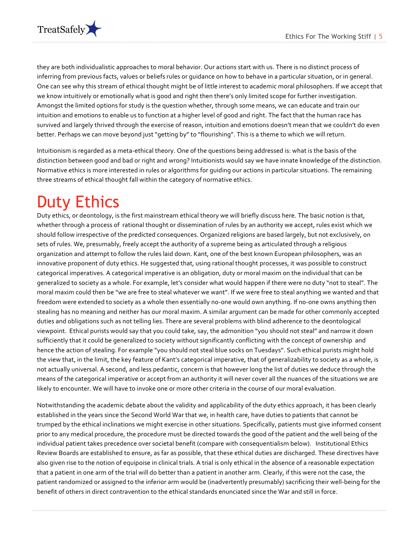

they are both individualistic approaches to moral behavior. Our actions start with us. There is no distinct process of inferring from previous facts, values or beliefs rules or quidance on how to behave in a particular situation, or in general. One can see why this stream of ethical thought might be of little interest to academic moral philosophers. If we accept that we know intuitively or emotionally what is good and right then there's only limited scope for further investigation. Amongst the limited options for study is the question whether, through some means, we can educate and train our intuition and emotions to enable us to function at a higher level of good and right. The fact that the human race has survived and largely thrived through the exercise of reason, intuition and emotions doesn't mean that we couldn't do even better. Perhaps we can move beyond just "getting by" to "flourishing". This is a theme to which we will return.

Intuitionism is regarded as a meta-ethical theory. One of the questions being addressed is: what is the basis of the distinction between good and bad or right and wrong? Intuitionists would say we have innate knowledge of the distinction. Normative ethics is more interested in rules or algorithms for quiding our actions in particular situations. The remaining three streams of ethical thought fall within the category of normative ethics.

# Duty Ethics

Duty ethics, or deontology, is the first mainstream ethical theory we will briefly discuss here. The basic notion is that, whether through a process of rational thought or dissemination of rules by an authority we accept, rules exist which we should follow irrespective of the predicted consequences. Organized religions are based largely, but not exclusively, on sets of rules. We, presumably, freely accept the authority of a supreme being as articulated through a religious organization and attempt to follow the rules laid down. Kant, one of the best known European philosophers, was an innovative proponent of duty ethics. He suggested that, using rational thought processes, it was possible to construct categorical imperatives. A categorical imperative is an obligation, duty or moral maxim on the individual that can be generalized to society as a whole. For example, let's consider what would happen if there were no duty "not to steal". The moral maxim could then be "we are free to steal whatever we want". If we were free to steal anything we wanted and that freedom were extended to society as a whole then essentially no-one would own anything. If no-one owns anything then stealing has no meaning and neither has our moral maxim. A similar argument can be made for other commonly accepted duties and obligations such as not telling lies. There are several problems with blind adherence to the deontological viewpoint. Ethical purists would say that you could take, say, the admonition "you should not steal" and narrow it down sufficiently that it could be generalized to society without significantly conflicting with the concept of ownership and hence the action of stealing. For example "you should not steal blue socks on Tuesdays". Such ethical purists might hold the view that, in the limit, the key feature of Kant's categorical imperative, that of generalizability to society as a whole, is not actually universal. A second, and less pedantic, concern is that however long the list of duties we deduce through the means of the categorical imperative or accept from an authority it will never cover all the nuances of the situations we are likely to encounter. We will have to invoke one or more other criteria in the course of our moral evaluation.

Notwithstanding the academic debate about the validity and applicability of the duty ethics approach, it has been clearly established in the years since the Second World War that we, in health care, have duties to patients that cannot be trumped by the ethical inclinations we might exercise in other situations. Specifically, patients must give informed consent prior to any medical procedure, the procedure must be directed towards the good of the patient and the well being of the individual patient takes precedence over societal benefit (compare with consequentialism below). Institutional Ethics Review Boards are established to ensure, as far as possible, that these ethical duties are discharged. These directives have also given rise to the notion of equipoise in clinical trials. A trial is only ethical in the absence of a reasonable expectation that a patient in one arm of the trial will do better than a patient in another arm. Clearly, if this were not the case, the patient randomized or assigned to the inferior arm would be (inadvertently presumably) sacrificing their well-being for the benefit of others in direct contravention to the ethical standards enunciated since the War and still in force.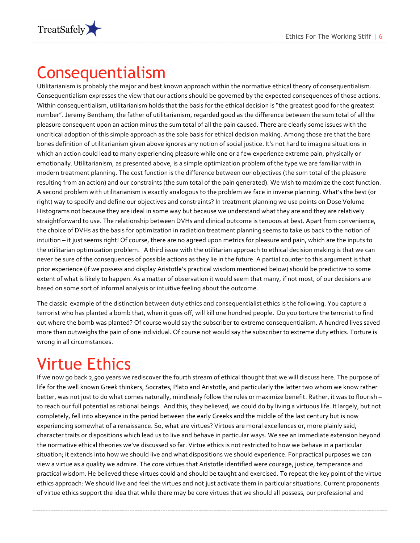

#### Consequentialism

Utilitarianism is probably the major and best known approach within the normative ethical theory of consequentialism. Consequentialism expresses the view that our actions should be governed by the expected consequences of those actions. Within consequentialism, utilitarianism holds that the basis for the ethical decision is "the greatest good for the greatest number". Jeremy Bentham, the father of utilitarianism, regarded good as the difference between the sum total of all the pleasure consequent upon an action minus the sum total of all the pain caused. There are clearly some issues with the uncritical adoption of this simple approach as the sole basis for ethical decision making. Among those are that the bare bones definition of utilitarianism given above ignores any notion of social justice. It's not hard to imagine situations in which an action could lead to many experiencing pleasure while one or a few experience extreme pain, physically or emotionally. Utilitarianism, as presented above, is a simple optimization problem of the type we are familiar with in modern treatment planning. The cost function is the difference between our objectives (the sum total of the pleasure resulting from an action) and our constraints (the sum total of the pain generated). We wish to maximize the cost function. A second problem with utilitarianism is exactly analogous to the problem we face in inverse planning. What's the best (or right) way to specify and define our objectives and constraints? In treatment planning we use points on Dose Volume Histograms not because they are ideal in some way but because we understand what they are and they are relatively straightforward to use. The relationship between DVHs and clinical outcome is tenuous at best. Apart from convenience, the choice of DVHs as the basis for optimization in radiation treatment planning seems to take us back to the notion of intuition – it just seems right! Of course, there are no agreed upon metrics for pleasure and pain, which are the inputs to the utilitarian optimization problem. A third issue with the utilitarian approach to ethical decision making is that we can never be sure of the consequences of possible actions as they lie in the future. A partial counter to this argument is that prior experience (if we possess and display Aristotle's practical wisdom mentioned below) should be predictive to some extent of what is likely to happen. As a matter of observation it would seem that many, if not most, of our decisions are based on some sort of informal analysis or intuitive feeling about the outcome.

The classic example of the distinction between duty ethics and consequentialist ethics is the following. You capture a terrorist who has planted a bomb that, when it goes off, will kill one hundred people. Do you torture the terrorist to find out where the bomb was planted? Of course would say the subscriber to extreme consequentialism. A hundred lives saved more than outweighs the pain of one individual. Of course not would say the subscriber to extreme duty ethics. Torture is wrong in all circumstances.

# Virtue Ethics

If we now go back 2,500 years we rediscover the fourth stream of ethical thought that we will discuss here. The purpose of life for the well known Greek thinkers, Socrates, Plato and Aristotle, and particularly the latter two whom we know rather better, was not just to do what comes naturally, mindlessly follow the rules or maximize benefit. Rather, it was to flourish – to reach our full potential as rational beings. And this, they believed, we could do by living a virtuous life. It largely, but not completely, fell into abeyance in the period between the early Greeks and the middle of the last century but is now experiencing somewhat of a renaissance. So, what are virtues? Virtues are moral excellences or, more plainly said, character traits or dispositions which lead us to live and behave in particular ways. We see an immediate extension beyond the normative ethical theories we've discussed so far. Virtue ethics is not restricted to how we behave in a particular situation; it extends into how we should live and what dispositions we should experience. For practical purposes we can view a virtue as a quality we admire. The core virtues that Aristotle identified were courage, justice, temperance and practical wisdom. He believed these virtues could and should be taught and exercised. To repeat the key point of the virtue ethics approach: We should live and feel the virtues and not just activate them in particular situations. Current proponents of virtue ethics support the idea that while there may be core virtues that we should all possess, our professional and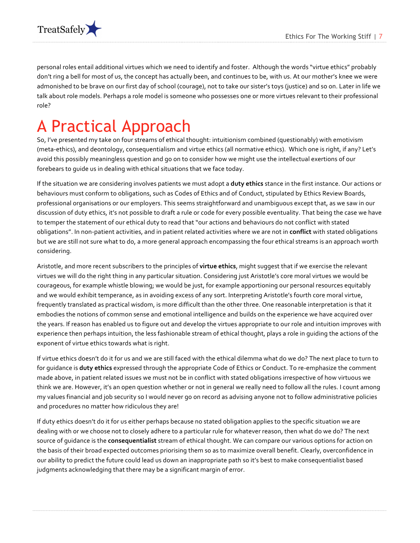

personal roles entail additional virtues which we need to identify and foster. Although the words "virtue ethics" probably don't ring a bell for most of us, the concept has actually been, and continues to be, with us. At our mother's knee we were admonished to be brave on our first day of school (courage), not to take our sister's toys (justice) and so on. Later in life we talk about role models. Perhaps a role model is someone who possesses one or more virtues relevant to their professional role?!!

#### A Practical Approach

So, I've presented my take on four streams of ethical thought: intuitionism combined (questionably) with emotivism (meta-ethics), and deontology, consequentialism and virtue ethics (all normative ethics). Which one is right, if any? Let's avoid this possibly meaningless question and go on to consider how we might use the intellectual exertions of our forebears to quide us in dealing with ethical situations that we face today.

If the situation we are considering involves patients we must adopt a **duty ethics** stance in the first instance. Our actions or behaviours must conform to obligations, such as Codes of Ethics and of Conduct, stipulated by Ethics Review Boards, professional organisations or our employers. This seems straightforward and unambiguous except that, as we saw in our discussion of duty ethics, it's not possible to draft a rule or code for every possible eventuality. That being the case we have to temper the statement of our ethical duty to read that "our actions and behaviours do not conflict with stated obligations". In non-patient activities, and in patient related activities where we are not in **conflict** with stated obligations but we are still not sure what to do, a more general approach encompassing the four ethical streams is an approach worth considering.

Aristotle, and more recent subscribers to the principles of **virtue ethics**, might suggest that if we exercise the relevant virtues we will do the right thing in any particular situation. Considering just Aristotle's core moral virtues we would be courageous, for example whistle blowing; we would be just, for example apportioning our personal resources equitably and we would exhibit temperance, as in avoiding excess of any sort. Interpreting Aristotle's fourth core moral virtue, frequently translated as practical wisdom, is more difficult than the other three. One reasonable interpretation is that it embodies the notions of common sense and emotional intelligence and builds on the experience we have acquired over the years. If reason has enabled us to figure out and develop the virtues appropriate to our role and intuition improves with experience then perhaps intuition, the less fashionable stream of ethical thought, plays a role in guiding the actions of the exponent of virtue ethics towards what is right.

If virtue ethics doesn't do it for us and we are still faced with the ethical dilemma what do we do? The next place to turn to for quidance is **duty ethics** expressed through the appropriate Code of Ethics or Conduct. To re-emphasize the comment made above, in patient related issues we must not be in conflict with stated obligations irrespective of how virtuous we think we are. However, it's an open question whether or not in general we really need to follow all the rules. I count among my values financial and job security so I would never go on record as advising anyone not to follow administrative policies and procedures no matter how ridiculous they are!

If duty ethics doesn't do it for us either perhaps because no stated obligation applies to the specific situation we are dealing with or we choose not to closely adhere to a particular rule for whatever reason, then what do we do? The next source of guidance is the **consequentialist** stream of ethical thought. We can compare our various options for action on the basis of their broad expected outcomes priorising them so as to maximize overall benefit. Clearly, overconfidence in our ability to predict the future could lead us down an inappropriate path so it's best to make consequentialist based judgments acknowledging that there may be a significant margin of error.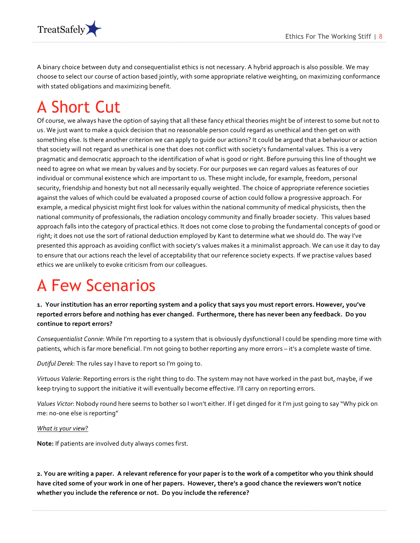

A binary choice between duty and consequentialist ethics is not necessary. A hybrid approach is also possible. We may choose to select our course of action based jointly, with some appropriate relative weighting, on maximizing conformance with stated obligations and maximizing benefit.

# A Short Cut

Of course, we always have the option of saying that all these fancy ethical theories might be of interest to some but not to us. We just want to make a quick decision that no reasonable person could regard as unethical and then get on with something else. Is there another criterion we can apply to guide our actions? It could be argued that a behaviour or action that society will not regard as unethical is one that does not conflict with society's fundamental values. This is a very pragmatic and democratic approach to the identification of what is good or right. Before pursuing this line of thought we need to agree on what we mean by values and by society. For our purposes we can regard values as features of our individual or communal existence which are important to us. These might include, for example, freedom, personal security, friendship and honesty but not all necessarily equally weighted. The choice of appropriate reference societies against the values of which could be evaluated a proposed course of action could follow a progressive approach. For example, a medical physicist might first look for values within the national community of medical physicists, then the national community of professionals, the radiation oncology community and finally broader society. This values based approach falls into the category of practical ethics. It does not come close to probing the fundamental concepts of good or right; it does not use the sort of rational deduction employed by Kant to determine what we should do. The way I've presented this approach as avoiding conflict with society's values makes it a minimalist approach. We can use it day to day to ensure that our actions reach the level of acceptability that our reference society expects. If we practise values based ethics we are unlikely to evoke criticism from our colleagues.

# A Few Scenarios

1. Your institution has an error reporting system and a policy that says you must report errors. However, you've  $r$ eported errors before and nothing has ever changed. Furthermore, there has never been any feedback. Do you continue to report errors?

*Consequentialist Connie:* While I'm reporting to a system that is obviously dysfunctional I could be spending more time with patients, which is far more beneficial. I'm not going to bother reporting any more errors – it's a complete waste of time.

*Dutiful Derek*: The rules say I have to report so I'm going to.

*Virtuous Valerie*: Reporting errors is the right thing to do. The system may not have worked in the past but, maybe, if we keep trying to support the initiative it will eventually become effective. I'll carry on reporting errors.

Values Victor: Nobody round here seems to bother so I won't either. If I get dinged for it I'm just going to say "Why pick on me: no-one else is reporting"

#### **What is your view?**

Note: If patients are involved duty always comes first.

2. You are writing a paper. A relevant reference for your paper is to the work of a competitor who you think should have cited some of your work in one of her papers. However, there's a good chance the reviewers won't notice whether you include the reference or not. Do you include the reference?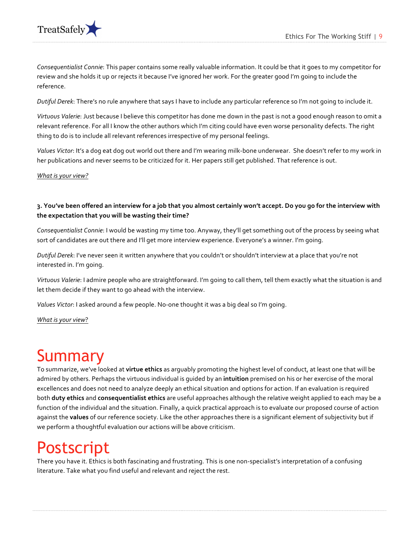



*Consequentialist Connie*: This paper contains some really valuable information. It could be that it goes to my competitor for review and she holds it up or rejects it because I've ignored her work. For the greater good I'm going to include the reference.

Dutiful Derek: There's no rule anywhere that says I have to include any particular reference so I'm not going to include it.

Virtuous Valerie: Just because I believe this competitor has done me down in the past is not a good enough reason to omit a relevant reference. For all I know the other authors which I'm citing could have even worse personality defects. The right thing to do is to include all relevant references irrespective of my personal feelings.

Values Victor: It's a dog eat dog out world out there and I'm wearing milk-bone underwear. She doesn't refer to my work in her publications and never seems to be criticized for it. Her papers still get published. That reference is out.

*What is your view?* 

#### **3.%You've%been%offered%an%interview%for%a%job%that%you%almost%certainly%won't%accept.%Do%you%go%for%the%interview%with%** the expectation that you will be wasting their time?

*Consequentialist Connie*: I would be wasting my time too. Anyway, they'll get something out of the process by seeing what sort of candidates are out there and I'll get more interview experience. Everyone's a winner. I'm going.

*Dutiful Derek*: I've never seen it written anywhere that you couldn't or shouldn't interview at a place that you're not interested in. I'm going.

*Virtuous Valerie*: I admire people who are straightforward. I'm going to call them, tell them exactly what the situation is and let them decide if they want to go ahead with the interview.

*Values Victor*: I asked around a few people. No-one thought it was a big deal so I'm going.

**What is your view?** 

#### Summary

To summarize, we've looked at virtue ethics as arguably promoting the highest level of conduct, at least one that will be admired by others. Perhaps the virtuous individual is quided by an intuition premised on his or her exercise of the moral excellences and does not need to analyze deeply an ethical situation and options for action. If an evaluation is required both **duty ethics** and **consequentialist ethics** are useful approaches although the relative weight applied to each may be a function of the individual and the situation. Finally, a quick practical approach is to evaluate our proposed course of action against the values of our reference society. Like the other approaches there is a significant element of subjectivity but if we perform a thoughtful evaluation our actions will be above criticism.

#### Postscript

There you have it. Ethics is both fascinating and frustrating. This is one non-specialist's interpretation of a confusing literature. Take what you find useful and relevant and reject the rest.